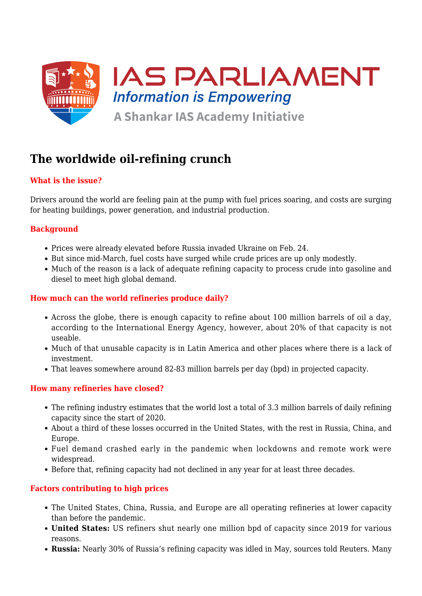

# **The worldwide oil-refining crunch**

# **What is the issue?**

Drivers around the world are feeling pain at the pump with fuel prices soaring, and costs are surging for heating buildings, power generation, and industrial production.

# **Background**

- Prices were already elevated before Russia invaded Ukraine on Feb. 24.
- But since mid-March, fuel costs have surged while crude prices are up only modestly.
- Much of the reason is a lack of adequate refining capacity to process crude into gasoline and diesel to meet high global demand.

### **How much can the world refineries produce daily?**

- Across the globe, there is enough capacity to refine about 100 million barrels of oil a day, according to the International Energy Agency, however, about 20% of that capacity is not useable.
- Much of that unusable capacity is in Latin America and other places where there is a lack of investment.
- That leaves somewhere around 82-83 million barrels per day (bpd) in projected capacity.

# **How many refineries have closed?**

- The refining industry estimates that the world lost a total of 3.3 million barrels of daily refining capacity since the start of 2020.
- About a third of these losses occurred in the United States, with the rest in Russia, China, and Europe.
- Fuel demand crashed early in the pandemic when lockdowns and remote work were widespread.
- Before that, refining capacity had not declined in any year for at least three decades.

# **Factors contributing to high prices**

- The United States, China, Russia, and Europe are all operating refineries at lower capacity than before the pandemic.
- **United States:** US refiners shut nearly one million bpd of capacity since 2019 for various reasons.
- **Russia:** Nearly 30% of Russia's refining capacity was idled in May, sources told Reuters. Many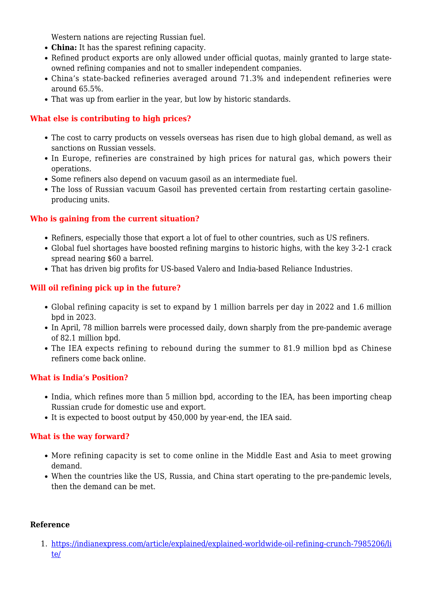Western nations are rejecting Russian fuel.

- **China:** It has the sparest refining capacity.
- Refined product exports are only allowed under official quotas, mainly granted to large stateowned refining companies and not to smaller independent companies.
- China's state-backed refineries averaged around 71.3% and independent refineries were around 65.5%.
- That was up from earlier in the year, but low by historic standards.

# **What else is contributing to high prices?**

- The cost to carry products on vessels overseas has risen due to high global demand, as well as sanctions on Russian vessels.
- In Europe, refineries are constrained by high prices for natural gas, which powers their operations.
- Some refiners also depend on vacuum gasoil as an intermediate fuel.
- The loss of Russian vacuum Gasoil has prevented certain from restarting certain gasolineproducing units.

# **Who is gaining from the current situation?**

- Refiners, especially those that export a lot of fuel to other countries, such as US refiners.
- Global fuel shortages have boosted refining margins to historic highs, with the key 3-2-1 crack spread nearing \$60 a barrel.
- That has driven big profits for US-based Valero and India-based Reliance Industries.

# **Will oil refining pick up in the future?**

- Global refining capacity is set to expand by 1 million barrels per day in 2022 and 1.6 million bpd in 2023.
- In April, 78 million barrels were processed daily, down sharply from the pre-pandemic average of 82.1 million bpd.
- The IEA expects refining to rebound during the summer to 81.9 million bpd as Chinese refiners come back online.

# **What is India's Position?**

- India, which refines more than 5 million bpd, according to the IEA, has been importing cheap Russian crude for domestic use and export.
- It is expected to boost output by 450,000 by year-end, the IEA said.

#### **What is the way forward?**

- More refining capacity is set to come online in the Middle East and Asia to meet growing demand.
- When the countries like the US, Russia, and China start operating to the pre-pandemic levels, then the demand can be met.

#### **Reference**

1. [https://indianexpress.com/article/explained/explained-worldwide-oil-refining-crunch-7985206/li](https://indianexpress.com/article/explained/explained-worldwide-oil-refining-crunch-7985206/lite/) [te/](https://indianexpress.com/article/explained/explained-worldwide-oil-refining-crunch-7985206/lite/)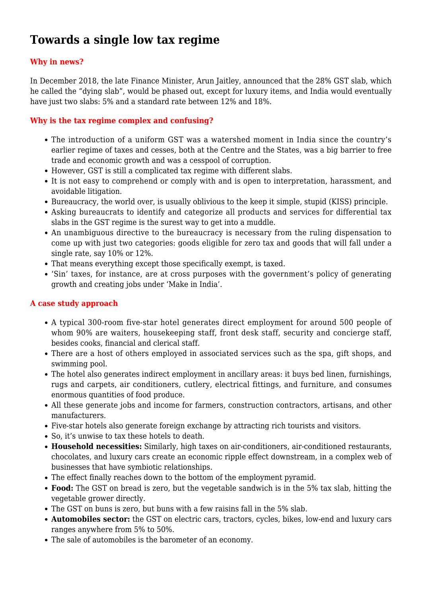# **Towards a single low tax regime**

# **Why in news?**

In December 2018, the late Finance Minister, Arun Jaitley, announced that the 28% GST slab, which he called the "dying slab", would be phased out, except for luxury items, and India would eventually have just two slabs: 5% and a standard rate between 12% and 18%.

# **Why is the tax regime complex and confusing?**

- The introduction of a uniform GST was a watershed moment in India since the country's earlier regime of taxes and cesses, both at the Centre and the States, was a big barrier to free trade and economic growth and was a cesspool of corruption.
- However, GST is still a complicated tax regime with different slabs.
- It is not easy to comprehend or comply with and is open to interpretation, harassment, and avoidable litigation.
- Bureaucracy, the world over, is usually oblivious to the keep it simple, stupid (KISS) principle.
- Asking bureaucrats to identify and categorize all products and services for differential tax slabs in the GST regime is the surest way to get into a muddle.
- An unambiguous directive to the bureaucracy is necessary from the ruling dispensation to come up with just two categories: goods eligible for zero tax and goods that will fall under a single rate, say 10% or 12%.
- That means everything except those specifically exempt, is taxed.
- 'Sin' taxes, for instance, are at cross purposes with the government's policy of generating growth and creating jobs under 'Make in India'.

# **A case study approach**

- A typical 300-room five-star hotel generates direct employment for around 500 people of whom 90% are waiters, housekeeping staff, front desk staff, security and concierge staff, besides cooks, financial and clerical staff.
- There are a host of others employed in associated services such as the spa, gift shops, and swimming pool.
- The hotel also generates indirect employment in ancillary areas: it buys bed linen, furnishings, rugs and carpets, air conditioners, cutlery, electrical fittings, and furniture, and consumes enormous quantities of food produce.
- All these generate jobs and income for farmers, construction contractors, artisans, and other manufacturers.
- Five-star hotels also generate foreign exchange by attracting rich tourists and visitors.
- So, it's unwise to tax these hotels to death.
- **Household necessities:** Similarly, high taxes on air-conditioners, air-conditioned restaurants, chocolates, and luxury cars create an economic ripple effect downstream, in a complex web of businesses that have symbiotic relationships.
- The effect finally reaches down to the bottom of the employment pyramid.
- **Food:** The GST on bread is zero, but the vegetable sandwich is in the 5% tax slab, hitting the vegetable grower directly.
- The GST on buns is zero, but buns with a few raisins fall in the 5% slab.
- **Automobiles sector:** the GST on electric cars, tractors, cycles, bikes, low-end and luxury cars ranges anywhere from 5% to 50%.
- The sale of automobiles is the barometer of an economy.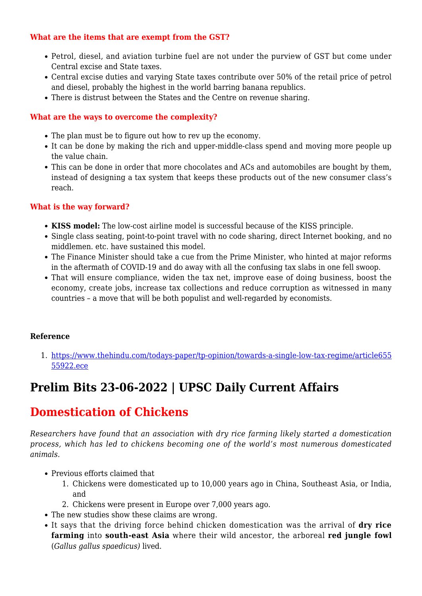#### **What are the items that are exempt from the GST?**

- Petrol, diesel, and aviation turbine fuel are not under the purview of GST but come under Central excise and State taxes.
- Central excise duties and varying State taxes contribute over 50% of the retail price of petrol and diesel, probably the highest in the world barring banana republics.
- There is distrust between the States and the Centre on revenue sharing.

### **What are the ways to overcome the complexity?**

- The plan must be to figure out how to rev up the economy.
- It can be done by making the rich and upper-middle-class spend and moving more people up the value chain.
- This can be done in order that more chocolates and ACs and automobiles are bought by them, instead of designing a tax system that keeps these products out of the new consumer class's reach.

#### **What is the way forward?**

- **KISS model:** The low-cost airline model is successful because of the KISS principle.
- Single class seating, point-to-point travel with no code sharing, direct Internet booking, and no middlemen. etc. have sustained this model.
- The Finance Minister should take a cue from the Prime Minister, who hinted at major reforms in the aftermath of COVID-19 and do away with all the confusing tax slabs in one fell swoop.
- That will ensure compliance, widen the tax net, improve ease of doing business, boost the economy, create jobs, increase tax collections and reduce corruption as witnessed in many countries – a move that will be both populist and well-regarded by economists.

#### **Reference**

1. [https://www.thehindu.com/todays-paper/tp-opinion/towards-a-single-low-tax-regime/article655](https://www.thehindu.com/todays-paper/tp-opinion/towards-a-single-low-tax-regime/article65555922.ece) [55922.ece](https://www.thehindu.com/todays-paper/tp-opinion/towards-a-single-low-tax-regime/article65555922.ece)

# **Prelim Bits 23-06-2022 | UPSC Daily Current Affairs**

# **Domestication of Chickens**

*Researchers have found that an association with dry rice farming likely started a domestication process, which has led to chickens becoming one of the world's most numerous domesticated animals.*

- Previous efforts claimed that
	- 1. Chickens were domesticated up to 10,000 years ago in China, Southeast Asia, or India, and
	- 2. Chickens were present in Europe over 7,000 years ago.
- The new studies show these claims are wrong.
- It says that the driving force behind chicken domestication was the arrival of **dry rice farming** into **south-east Asia** where their wild ancestor, the arboreal **red jungle fowl** (*Gallus gallus spaedicus)* lived.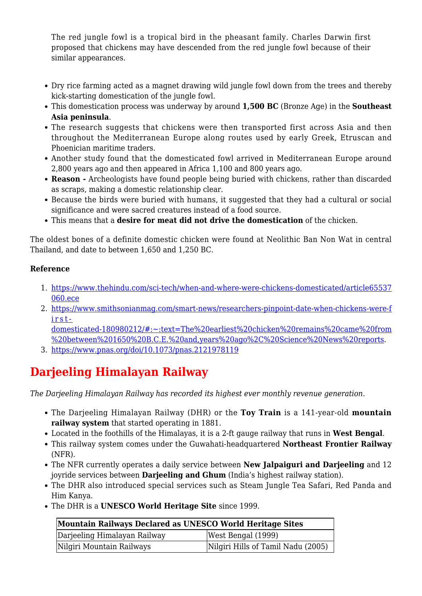The red jungle fowl is a tropical bird in the pheasant family. Charles Darwin first proposed that chickens may have descended from the red jungle fowl because of their similar appearances.

- Dry rice farming acted as a magnet drawing wild jungle fowl down from the trees and thereby kick-starting domestication of the jungle fowl.
- This domestication process was underway by around **1,500 BC** (Bronze Age) in the **Southeast Asia peninsula**.
- The research suggests that chickens were then transported first across Asia and then throughout the Mediterranean Europe along routes used by early Greek, Etruscan and Phoenician maritime traders.
- Another study found that the domesticated fowl arrived in Mediterranean Europe around 2,800 years ago and then appeared in Africa 1,100 and 800 years ago.
- **Reason** Archeologists have found people being buried with chickens, rather than discarded as scraps, making a domestic relationship clear.
- Because the birds were buried with humans, it suggested that they had a cultural or social significance and were sacred creatures instead of a food source.
- This means that a **desire for meat did not drive the domestication** of the chicken.

The oldest bones of a definite domestic chicken were found at Neolithic Ban Non Wat in central Thailand, and date to between 1,650 and 1,250 BC.

# **Reference**

- 1. [https://www.thehindu.com/sci-tech/when-and-where-were-chickens-domesticated/article65537](https://www.thehindu.com/sci-tech/when-and-where-were-chickens-domesticated/article65537060.ece) [060.ece](https://www.thehindu.com/sci-tech/when-and-where-were-chickens-domesticated/article65537060.ece)
- 2. [https://www.smithsonianmag.com/smart-news/researchers-pinpoint-date-when-chickens-were-f](https://www.smithsonianmag.com/smart-news/researchers-pinpoint-date-when-chickens-were-first-domesticated-180980212/#:~:text=The%20earliest%20chicken%20remains%20came%20from%20between%201650%20B.C.E.%20and,years%20ago%2C%20Science%20News%20reports) [irst](https://www.smithsonianmag.com/smart-news/researchers-pinpoint-date-when-chickens-were-first-domesticated-180980212/#:~:text=The%20earliest%20chicken%20remains%20came%20from%20between%201650%20B.C.E.%20and,years%20ago%2C%20Science%20News%20reports)[domesticated-180980212/#:~:text=The%20earliest%20chicken%20remains%20came%20from](https://www.smithsonianmag.com/smart-news/researchers-pinpoint-date-when-chickens-were-first-domesticated-180980212/#:~:text=The%20earliest%20chicken%20remains%20came%20from%20between%201650%20B.C.E.%20and,years%20ago%2C%20Science%20News%20reports)

[%20between%201650%20B.C.E.%20and,years%20ago%2C%20Science%20News%20reports.](https://www.smithsonianmag.com/smart-news/researchers-pinpoint-date-when-chickens-were-first-domesticated-180980212/#:~:text=The%20earliest%20chicken%20remains%20came%20from%20between%201650%20B.C.E.%20and,years%20ago%2C%20Science%20News%20reports)

3. <https://www.pnas.org/doi/10.1073/pnas.2121978119>

# **Darjeeling Himalayan Railway**

*The Darjeeling Himalayan Railway has recorded its highest ever monthly revenue generation.*

- The Darjeeling Himalayan Railway (DHR) or the **Toy Train** is a 141-year-old **mountain railway system** that started operating in 1881.
- Located in the foothills of the Himalayas, it is a 2-ft gauge railway that runs in **West Bengal**.
- This railway system comes under the Guwahati-headquartered **Northeast Frontier Railway** (NFR).
- The NFR currently operates a daily service between **New Jalpaiguri and Darjeeling** and 12 joyride services between **Darjeeling and Ghum** (India's highest railway station).
- The DHR also introduced special services such as Steam Jungle Tea Safari, Red Panda and Him Kanya.
- The DHR is a **UNESCO World Heritage Site** since 1999.

| Mountain Railways Declared as UNESCO World Heritage Sites |                                    |
|-----------------------------------------------------------|------------------------------------|
| Darjeeling Himalayan Railway                              | West Bengal (1999)                 |
| Nilgiri Mountain Railways                                 | Nilgiri Hills of Tamil Nadu (2005) |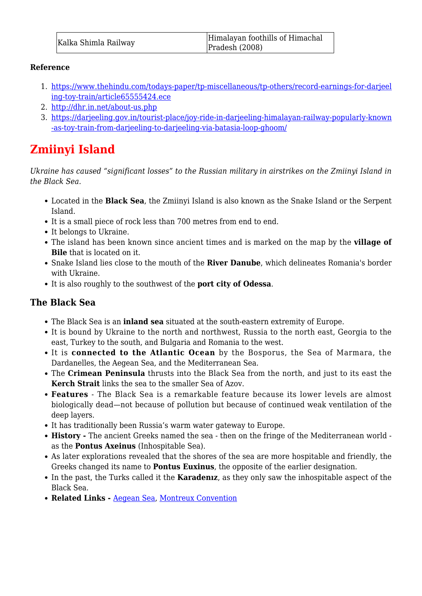### **Reference**

- 1. [https://www.thehindu.com/todays-paper/tp-miscellaneous/tp-others/record-earnings-for-darjeel](https://www.thehindu.com/todays-paper/tp-miscellaneous/tp-others/record-earnings-for-darjeeling-toy-train/article65555424.ece) [ing-toy-train/article65555424.ece](https://www.thehindu.com/todays-paper/tp-miscellaneous/tp-others/record-earnings-for-darjeeling-toy-train/article65555424.ece)
- 2. <http://dhr.in.net/about-us.php>
- 3. [https://darjeeling.gov.in/tourist-place/joy-ride-in-darjeeling-himalayan-railway-popularly-known](https://darjeeling.gov.in/tourist-place/joy-ride-in-darjeeling-himalayan-railway-popularly-known-as-toy-train-from-darjeeling-to-darjeeling-via-batasia-loop-ghoom/) [-as-toy-train-from-darjeeling-to-darjeeling-via-batasia-loop-ghoom/](https://darjeeling.gov.in/tourist-place/joy-ride-in-darjeeling-himalayan-railway-popularly-known-as-toy-train-from-darjeeling-to-darjeeling-via-batasia-loop-ghoom/)

# **Zmiinyi Island**

*Ukraine has caused "significant losses" to the Russian military in airstrikes on the Zmiinyi Island in the Black Sea.*

- Located in the **Black Sea**, the Zmiinyi Island is also known as the Snake Island or the Serpent Island.
- It is a small piece of rock less than 700 metres from end to end.
- It belongs to Ukraine.
- The island has been known since ancient times and is marked on the map by the **village of Bile** that is located on it.
- Snake Island lies close to the mouth of the **River Danube**, which delineates Romania's border with Ukraine.
- It is also roughly to the southwest of the **port city of Odessa**.

# **The Black Sea**

- The Black Sea is an **inland sea** situated at the south-eastern extremity of Europe.
- It is bound by Ukraine to the north and northwest, Russia to the north east, Georgia to the east, Turkey to the south, and Bulgaria and Romania to the west.
- It is **connected to the Atlantic Ocean** by the Bosporus, the Sea of Marmara, the Dardanelles, the Aegean Sea, and the Mediterranean Sea.
- The **Crimean Peninsula** thrusts into the Black Sea from the north, and just to its east the **Kerch Strait** links the sea to the smaller Sea of Azov.
- **Features** The Black Sea is a remarkable feature because its lower levels are almost biologically dead—not because of pollution but because of continued weak ventilation of the deep layers.
- It has traditionally been Russia's warm water gateway to Europe.
- **History** The ancient Greeks named the sea then on the fringe of the Mediterranean world as the **Pontus Axeinus** (Inhospitable Sea).
- As later explorations revealed that the shores of the sea are more hospitable and friendly, the Greeks changed its name to **Pontus Euxinus**, the opposite of the earlier designation.
- In the past, the Turks called it the **Karadenız**, as they only saw the inhospitable aspect of the Black Sea.
- **Related Links** [Aegean Sea,](https://www.iasparliament.com/current-affairs/prelim-bits-10-06-2022-upsc-daily-current-affairs) [Montreux Convention](https://www.iasparliament.com/current-affairs/prelim-bits-02-03-2022-daily-upsc-current-affairs)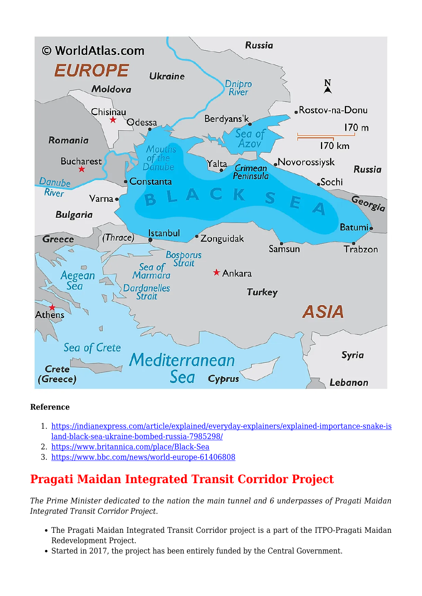

# **Reference**

- 1. [https://indianexpress.com/article/explained/everyday-explainers/explained-importance-snake-is](https://indianexpress.com/article/explained/everyday-explainers/explained-importance-snake-island-black-sea-ukraine-bombed-russia-7985298/) [land-black-sea-ukraine-bombed-russia-7985298/](https://indianexpress.com/article/explained/everyday-explainers/explained-importance-snake-island-black-sea-ukraine-bombed-russia-7985298/)
- 2. <https://www.britannica.com/place/Black-Sea>
- 3. <https://www.bbc.com/news/world-europe-61406808>

# **Pragati Maidan Integrated Transit Corridor Project**

*The Prime Minister dedicated to the nation the main tunnel and 6 underpasses of Pragati Maidan Integrated Transit Corridor Project.*

- The Pragati Maidan Integrated Transit Corridor project is a part of the ITPO-Pragati Maidan Redevelopment Project.
- Started in 2017, the project has been entirely funded by the Central Government.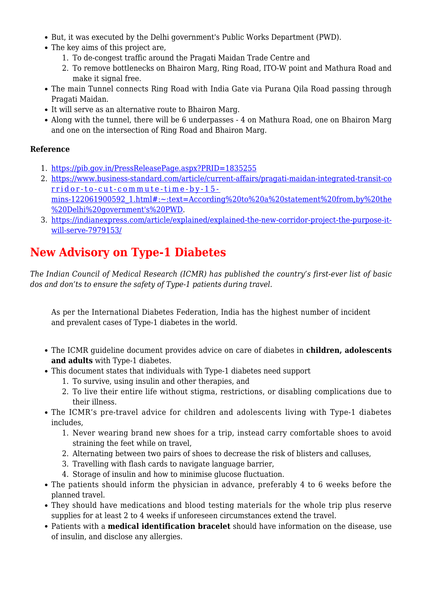- But, it was executed by the Delhi government's Public Works Department (PWD).
- The key aims of this project are,
	- 1. To de-congest traffic around the Pragati Maidan Trade Centre and
	- 2. To remove bottlenecks on Bhairon Marg, Ring Road, ITO-W point and Mathura Road and make it signal free.
- The main Tunnel connects Ring Road with India Gate via Purana Qila Road passing through Pragati Maidan.
- It will serve as an alternative route to Bhairon Marg.
- Along with the tunnel, there will be 6 underpasses 4 on Mathura Road, one on Bhairon Marg and one on the intersection of Ring Road and Bhairon Marg.

# **Reference**

- 1. <https://pib.gov.in/PressReleasePage.aspx?PRID=1835255>
- 2. [https://www.business-standard.com/article/current-affairs/pragati-maidan-integrated-transit-co](https://www.business-standard.com/article/current-affairs/pragati-maidan-integrated-transit-corridor-to-cut-commute-time-by-15-mins-122061900592_1.html#:~:text=According%20to%20a%20statement%20from,by%20the%20Delhi%20government) [rridor-to-cut-commute-time-by-15](https://www.business-standard.com/article/current-affairs/pragati-maidan-integrated-transit-corridor-to-cut-commute-time-by-15-mins-122061900592_1.html#:~:text=According%20to%20a%20statement%20from,by%20the%20Delhi%20government) [mins-122061900592\\_1.html#:~:text=According%20to%20a%20statement%20from,by%20the](https://www.business-standard.com/article/current-affairs/pragati-maidan-integrated-transit-corridor-to-cut-commute-time-by-15-mins-122061900592_1.html#:~:text=According%20to%20a%20statement%20from,by%20the%20Delhi%20government) [%20Delhi%20government's%20PWD.](https://www.business-standard.com/article/current-affairs/pragati-maidan-integrated-transit-corridor-to-cut-commute-time-by-15-mins-122061900592_1.html#:~:text=According%20to%20a%20statement%20from,by%20the%20Delhi%20government)
- 3. [https://indianexpress.com/article/explained/explained-the-new-corridor-project-the-purpose-it](https://indianexpress.com/article/explained/explained-the-new-corridor-project-the-purpose-it-will-serve-7979153/)[will-serve-7979153/](https://indianexpress.com/article/explained/explained-the-new-corridor-project-the-purpose-it-will-serve-7979153/)

# **New Advisory on Type-1 Diabetes**

*The Indian Council of Medical Research (ICMR) has published the country's first-ever list of basic dos and don'ts to ensure the safety of Type-1 patients during travel.*

As per the International Diabetes Federation, India has the highest number of incident and prevalent cases of Type-1 diabetes in the world.

- The ICMR guideline document provides advice on care of diabetes in **children, adolescents and adults** with Type-1 diabetes.
- This document states that individuals with Type-1 diabetes need support
	- 1. To survive, using insulin and other therapies, and
	- 2. To live their entire life without stigma, restrictions, or disabling complications due to their illness.
- The ICMR's pre-travel advice for children and adolescents living with Type-1 diabetes includes,
	- 1. Never wearing brand new shoes for a trip, instead carry comfortable shoes to avoid straining the feet while on travel,
	- 2. Alternating between two pairs of shoes to decrease the risk of blisters and calluses,
	- 3. Travelling with flash cards to navigate language barrier,
	- 4. Storage of insulin and how to minimise glucose fluctuation.
- The patients should inform the physician in advance, preferably 4 to 6 weeks before the planned travel.
- They should have medications and blood testing materials for the whole trip plus reserve supplies for at least 2 to 4 weeks if unforeseen circumstances extend the travel.
- Patients with a **medical identification bracelet** should have information on the disease, use of insulin, and disclose any allergies.